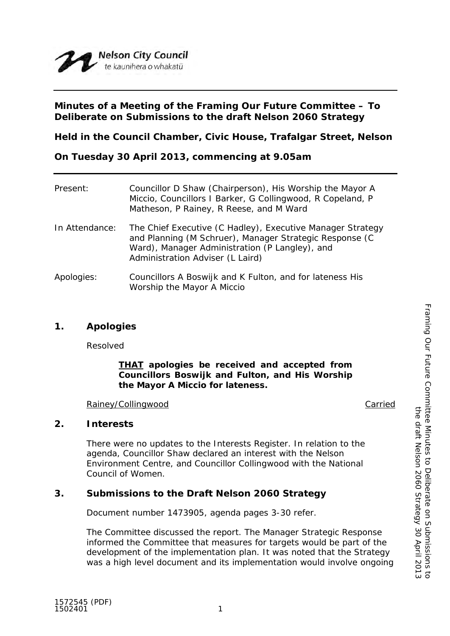

# **Minutes of a Meeting of the Framing Our Future Committee – To Deliberate on Submissions to the draft Nelson 2060 Strategy**

**Held in the Council Chamber, Civic House, Trafalgar Street, Nelson**

**On Tuesday 30 April 2013, commencing at 9.05am**

| Present:       | Councillor D Shaw (Chairperson), His Worship the Mayor A<br>Miccio, Councillors I Barker, G Collingwood, R Copeland, P<br>Matheson, P Rainey, R Reese, and M Ward                                           |
|----------------|-------------------------------------------------------------------------------------------------------------------------------------------------------------------------------------------------------------|
| In Attendance: | The Chief Executive (C Hadley), Executive Manager Strategy<br>and Planning (M Schruer), Manager Strategic Response (C<br>Ward), Manager Administration (P Langley), and<br>Administration Adviser (L Laird) |
| Apologies:     | Councillors A Boswijk and K Fulton, and for lateness His<br>Worship the Mayor A Miccio                                                                                                                      |

## **1. Apologies**

Resolved

*THAT apologies be received and accepted from Councillors Boswijk and Fulton, and His Worship the Mayor A Miccio for lateness.*

### Rainey/Collingwood **Carried** Carried Carried Carried Carried Carried Carried Carried Carried Carried Carried Carried Carried Carried Carried Carried Carried Carried Carried Carried Carried Carried Carried Carried Carried C

### **2. Interests**

There were no updates to the Interests Register. In relation to the agenda, Councillor Shaw declared an interest with the Nelson Environment Centre, and Councillor Collingwood with the National Council of Women.

# **3. Submissions to the Draft Nelson 2060 Strategy**

Document number 1473905, agenda pages 3-30 refer.

The Committee discussed the report. The Manager Strategic Response informed the Committee that measures for targets would be part of the development of the implementation plan. It was noted that the Strategy was a high level document and its implementation would involve ongoing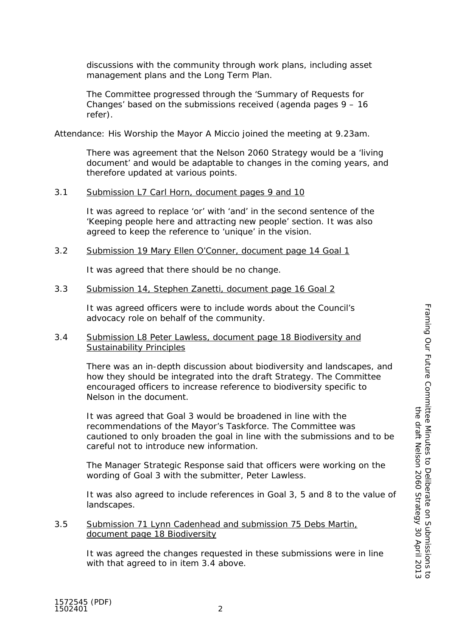discussions with the community through work plans, including asset management plans and the Long Term Plan.

The Committee progressed through the 'Summary of Requests for Changes' based on the submissions received (agenda pages 9 – 16 refer).

Attendance: His Worship the Mayor A Miccio joined the meeting at 9.23am.

There was agreement that the Nelson 2060 Strategy would be a 'living document' and would be adaptable to changes in the coming years, and therefore updated at various points.

#### 3.1 Submission L7 Carl Horn, document pages 9 and 10

It was agreed to replace 'or' with 'and' in the second sentence of the 'Keeping people here and attracting new people' section. It was also agreed to keep the reference to 'unique' in the vision.

3.2 Submission 19 Mary Ellen O'Conner, document page 14 Goal 1

It was agreed that there should be no change.

#### 3.3 Submission 14, Stephen Zanetti, document page 16 Goal 2

It was agreed officers were to include words about the Council's advocacy role on behalf of the community.

#### 3.4 Submission L8 Peter Lawless, document page 18 Biodiversity and Sustainability Principles

There was an in-depth discussion about biodiversity and landscapes, and how they should be integrated into the draft Strategy. The Committee encouraged officers to increase reference to biodiversity specific to Nelson in the document.

It was agreed that Goal 3 would be broadened in line with the recommendations of the Mayor's Taskforce. The Committee was cautioned to only broaden the goal in line with the submissions and to be careful not to introduce new information.

The Manager Strategic Response said that officers were working on the wording of Goal 3 with the submitter, Peter Lawless.

It was also agreed to include references in Goal 3, 5 and 8 to the value of landscapes.

3.5 Submission 71 Lynn Cadenhead and submission 75 Debs Martin, document page 18 Biodiversity

> It was agreed the changes requested in these submissions were in line with that agreed to in item 3.4 above.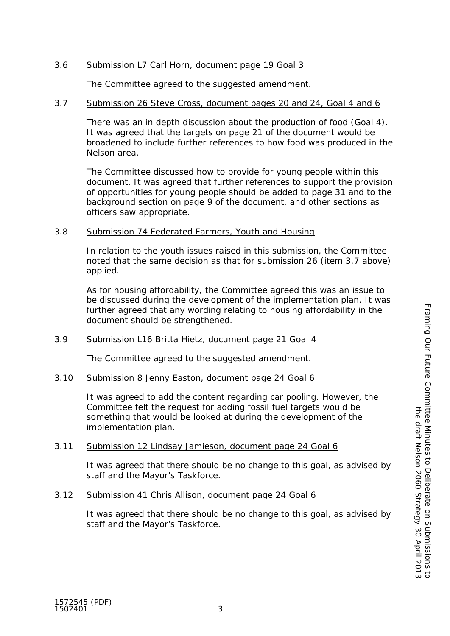## 3.6 Submission L7 Carl Horn, document page 19 Goal 3

The Committee agreed to the suggested amendment.

### 3.7 Submission 26 Steve Cross, document pages 20 and 24, Goal 4 and 6

There was an in depth discussion about the production of food (Goal 4). It was agreed that the targets on page 21 of the document would be broadened to include further references to how food was produced in the Nelson area.

The Committee discussed how to provide for young people within this document. It was agreed that further references to support the provision of opportunities for young people should be added to page 31 and to the background section on page 9 of the document, and other sections as officers saw appropriate.

### 3.8 Submission 74 Federated Farmers, Youth and Housing

In relation to the youth issues raised in this submission, the Committee noted that the same decision as that for submission 26 (item 3.7 above) applied.

As for housing affordability, the Committee agreed this was an issue to be discussed during the development of the implementation plan. It was further agreed that any wording relating to housing affordability in the document should be strengthened.

## 3.9 Submission L16 Britta Hietz, document page 21 Goal 4

The Committee agreed to the suggested amendment.

## 3.10 Submission 8 Jenny Easton, document page 24 Goal 6

It was agreed to add the content regarding car pooling. However, the Committee felt the request for adding fossil fuel targets would be something that would be looked at during the development of the implementation plan.

## 3.11 Submission 12 Lindsay Jamieson, document page 24 Goal 6

It was agreed that there should be no change to this goal, as advised by staff and the Mayor's Taskforce.

## 3.12 Submission 41 Chris Allison, document page 24 Goal 6

It was agreed that there should be no change to this goal, as advised by staff and the Mayor's Taskforce.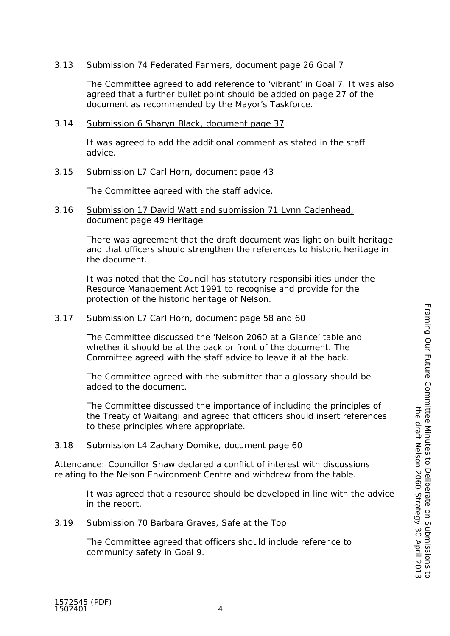### 3.13 Submission 74 Federated Farmers, document page 26 Goal 7

The Committee agreed to add reference to 'vibrant' in Goal 7. It was also agreed that a further bullet point should be added on page 27 of the document as recommended by the Mayor's Taskforce.

### 3.14 Submission 6 Sharyn Black, document page 37

It was agreed to add the additional comment as stated in the staff advice.

### 3.15 Submission L7 Carl Horn, document page 43

The Committee agreed with the staff advice.

#### 3.16 Submission 17 David Watt and submission 71 Lynn Cadenhead, document page 49 Heritage

There was agreement that the draft document was light on built heritage and that officers should strengthen the references to historic heritage in the document.

It was noted that the Council has statutory responsibilities under the Resource Management Act 1991 to recognise and provide for the protection of the historic heritage of Nelson.

### 3.17 Submission L7 Carl Horn, document page 58 and 60

The Committee discussed the 'Nelson 2060 at a Glance' table and whether it should be at the back or front of the document. The Committee agreed with the staff advice to leave it at the back.

The Committee agreed with the submitter that a glossary should be added to the document.

The Committee discussed the importance of including the principles of the Treaty of Waitangi and agreed that officers should insert references to these principles where appropriate.

### 3.18 Submission L4 Zachary Domike, document page 60

Attendance: Councillor Shaw declared a conflict of interest with discussions relating to the Nelson Environment Centre and withdrew from the table.

> It was agreed that a resource should be developed in line with the advice in the report.

### 3.19 Submission 70 Barbara Graves, Safe at the Top

The Committee agreed that officers should include reference to community safety in Goal 9.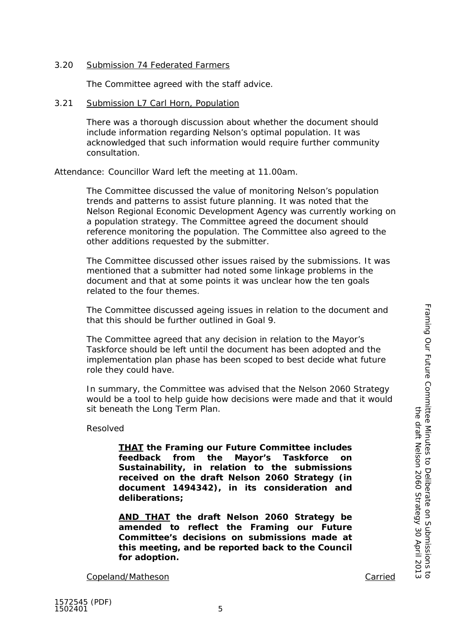### 3.20 Submission 74 Federated Farmers

The Committee agreed with the staff advice.

### 3.21 Submission L7 Carl Horn, Population

There was a thorough discussion about whether the document should include information regarding Nelson's optimal population. It was acknowledged that such information would require further community consultation.

Attendance: Councillor Ward left the meeting at 11.00am.

The Committee discussed the value of monitoring Nelson's population trends and patterns to assist future planning. It was noted that the Nelson Regional Economic Development Agency was currently working on a population strategy. The Committee agreed the document should reference monitoring the population. The Committee also agreed to the other additions requested by the submitter.

The Committee discussed other issues raised by the submissions. It was mentioned that a submitter had noted some linkage problems in the document and that at some points it was unclear how the ten goals related to the four themes.

The Committee discussed ageing issues in relation to the document and that this should be further outlined in Goal 9.

The Committee agreed that any decision in relation to the Mayor's Taskforce should be left until the document has been adopted and the implementation plan phase has been scoped to best decide what future role they could have.

In summary, the Committee was advised that the Nelson 2060 Strategy would be a tool to help guide how decisions were made and that it would sit beneath the Long Term Plan.

Resolved

*THAT the Framing our Future Committee includes feedback from the Mayor's Taskforce on Sustainability, in relation to the submissions received on the draft Nelson 2060 Strategy (in document 1494342), in its consideration and deliberations;*

*AND THAT the draft Nelson 2060 Strategy be amended to reflect the Framing our Future Committee's decisions on submissions made at this meeting, and be reported back to the Council for adoption.*

Copeland/Matheson Carried

Framing Our Future

Committee Minutes to Deliberate on Submissions to the draft Nelson 2060 Strategy 30 April 2013

ittee Minutes to Deliberate on Submissions to<br>the draft Nelson 2060 Strategy 30 April 2013

Framing Our Future Committee Minutes to Deliberate on Submissions